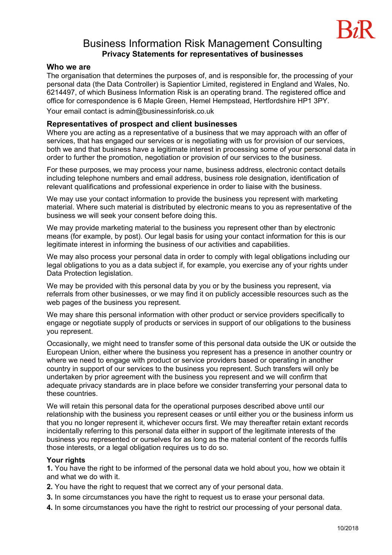# Business Information Risk Management Consulting **Privacy Statements for representatives of businesses**

### **Who we are**

The organisation that determines the purposes of, and is responsible for, the processing of your personal data (the Data Controller) is Sapientior Limited, registered in England and Wales, No. 6214497, of which Business Information Risk is an operating brand. The registered office and office for correspondence is 6 Maple Green, Hemel Hempstead, Hertfordshire HP1 3PY.

Your email contact is admin@businessinforisk.co.uk

### **Representatives of prospect and client businesses**

Where you are acting as a representative of a business that we may approach with an offer of services, that has engaged our services or is negotiating with us for provision of our services, both we and that business have a legitimate interest in processing some of your personal data in order to further the promotion, negotiation or provision of our services to the business.

For these purposes, we may process your name, business address, electronic contact details including telephone numbers and email address, business role designation, identification of relevant qualifications and professional experience in order to liaise with the business.

We may use your contact information to provide the business you represent with marketing material. Where such material is distributed by electronic means to you as representative of the business we will seek your consent before doing this.

We may provide marketing material to the business you represent other than by electronic means (for example, by post). Our legal basis for using your contact information for this is our legitimate interest in informing the business of our activities and capabilities.

We may also process your personal data in order to comply with legal obligations including our legal obligations to you as a data subject if, for example, you exercise any of your rights under Data Protection legislation.

We may be provided with this personal data by you or by the business you represent, via referrals from other businesses, or we may find it on publicly accessible resources such as the web pages of the business you represent.

We may share this personal information with other product or service providers specifically to engage or negotiate supply of products or services in support of our obligations to the business you represent.

Occasionally, we might need to transfer some of this personal data outside the UK or outside the European Union, either where the business you represent has a presence in another country or where we need to engage with product or service providers based or operating in another country in support of our services to the business you represent. Such transfers will only be undertaken by prior agreement with the business you represent and we will confirm that adequate privacy standards are in place before we consider transferring your personal data to these countries.

We will retain this personal data for the operational purposes described above until our relationship with the business you represent ceases or until either you or the business inform us that you no longer represent it, whichever occurs first. We may thereafter retain extant records incidentally referring to this personal data either in support of the legitimate interests of the business you represented or ourselves for as long as the material content of the records fulfils those interests, or a legal obligation requires us to do so.

#### **Your rights**

**1.** You have the right to be informed of the personal data we hold about you, how we obtain it and what we do with it.

- **2.** You have the right to request that we correct any of your personal data.
- **3.** In some circumstances you have the right to request us to erase your personal data.
- **4.** In some circumstances you have the right to restrict our processing of your personal data.